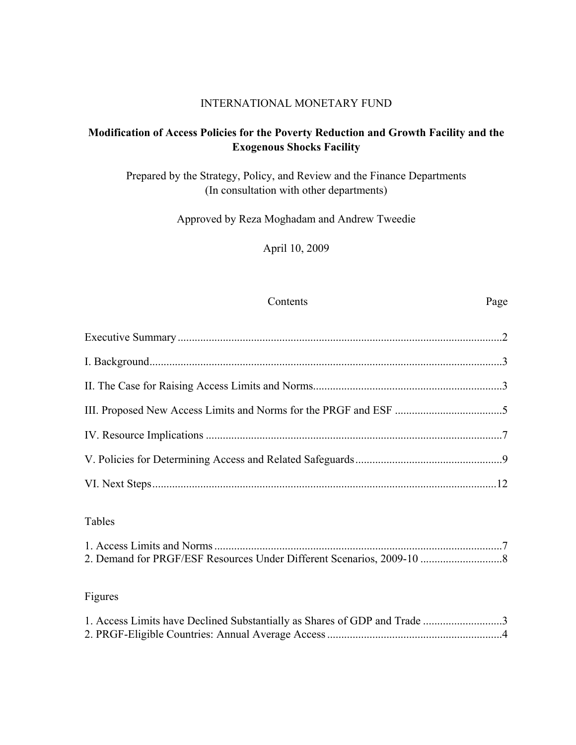# INTERNATIONAL MONETARY FUND

# **Modification of Access Policies for the Poverty Reduction and Growth Facility and the Exogenous Shocks Facility**

Prepared by the Strategy, Policy, and Review and the Finance Departments (In consultation with other departments)

Approved by Reza Moghadam and Andrew Tweedie

April 10, 2009

#### Contents Page

# Tables

# Figures

| 1. Access Limits have Declined Substantially as Shares of GDP and Trade 3 |  |
|---------------------------------------------------------------------------|--|
|                                                                           |  |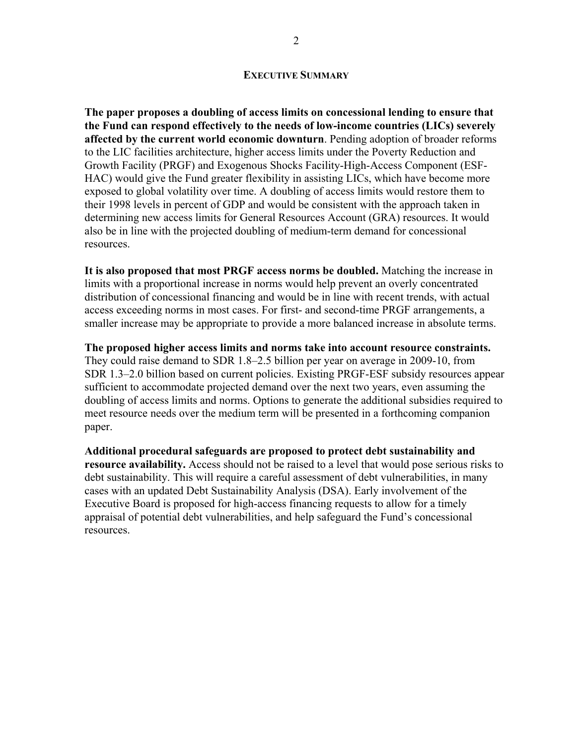#### **EXECUTIVE SUMMARY**

**The paper proposes a doubling of access limits on concessional lending to ensure that the Fund can respond effectively to the needs of low-income countries (LICs) severely affected by the current world economic downturn**. Pending adoption of broader reforms to the LIC facilities architecture, higher access limits under the Poverty Reduction and Growth Facility (PRGF) and Exogenous Shocks Facility-High-Access Component (ESF-HAC) would give the Fund greater flexibility in assisting LICs, which have become more exposed to global volatility over time. A doubling of access limits would restore them to their 1998 levels in percent of GDP and would be consistent with the approach taken in determining new access limits for General Resources Account (GRA) resources. It would also be in line with the projected doubling of medium-term demand for concessional resources.

**It is also proposed that most PRGF access norms be doubled.** Matching the increase in limits with a proportional increase in norms would help prevent an overly concentrated distribution of concessional financing and would be in line with recent trends, with actual access exceeding norms in most cases. For first- and second-time PRGF arrangements, a smaller increase may be appropriate to provide a more balanced increase in absolute terms.

**The proposed higher access limits and norms take into account resource constraints.**  They could raise demand to SDR 1.8–2.5 billion per year on average in 2009-10, from SDR 1.3–2.0 billion based on current policies. Existing PRGF-ESF subsidy resources appear sufficient to accommodate projected demand over the next two years, even assuming the doubling of access limits and norms. Options to generate the additional subsidies required to meet resource needs over the medium term will be presented in a forthcoming companion paper.

**Additional procedural safeguards are proposed to protect debt sustainability and resource availability.** Access should not be raised to a level that would pose serious risks to debt sustainability. This will require a careful assessment of debt vulnerabilities, in many cases with an updated Debt Sustainability Analysis (DSA). Early involvement of the Executive Board is proposed for high-access financing requests to allow for a timely appraisal of potential debt vulnerabilities, and help safeguard the Fund's concessional resources.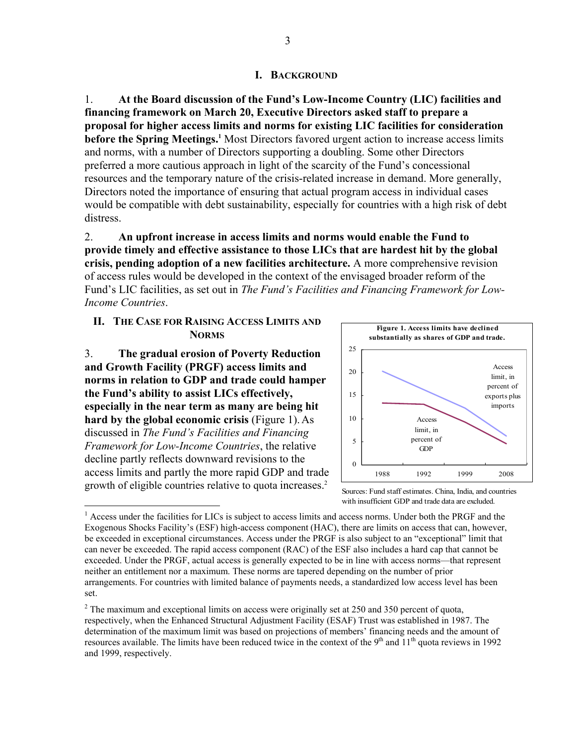#### **I. BACKGROUND**

1. **At the Board discussion of the Fund's Low-Income Country (LIC) facilities and financing framework on March 20, Executive Directors asked staff to prepare a proposal for higher access limits and norms for existing LIC facilities for consideration before the Spring Meetings.**<sup>1</sup> Most Directors favored urgent action to increase access limits and norms, with a number of Directors supporting a doubling. Some other Directors preferred a more cautious approach in light of the scarcity of the Fund's concessional resources and the temporary nature of the crisis-related increase in demand. More generally, Directors noted the importance of ensuring that actual program access in individual cases would be compatible with debt sustainability, especially for countries with a high risk of debt distress.

2. **An upfront increase in access limits and norms would enable the Fund to provide timely and effective assistance to those LICs that are hardest hit by the global crisis, pending adoption of a new facilities architecture.** A more comprehensive revision of access rules would be developed in the context of the envisaged broader reform of the Fund's LIC facilities, as set out in *The Fund's Facilities and Financing Framework for Low-Income Countries*.

#### **II. THE CASE FOR RAISING ACCESS LIMITS AND NORMS**

3. **The gradual erosion of Poverty Reduction and Growth Facility (PRGF) access limits and norms in relation to GDP and trade could hamper the Fund's ability to assist LICs effectively, especially in the near term as many are being hit hard by the global economic crisis** (Figure 1).As discussed in *The Fund's Facilities and Financing Framework for Low-Income Countries*, the relative decline partly reflects downward revisions to the access limits and partly the more rapid GDP and trade growth of eligible countries relative to quota increases.<sup>2</sup>

 $\overline{a}$ 





<sup>&</sup>lt;sup>1</sup> Access under the facilities for LICs is subject to access limits and access norms. Under both the PRGF and the Exogenous Shocks Facility's (ESF) high-access component (HAC), there are limits on access that can, however, be exceeded in exceptional circumstances. Access under the PRGF is also subject to an "exceptional" limit that can never be exceeded. The rapid access component (RAC) of the ESF also includes a hard cap that cannot be exceeded. Under the PRGF, actual access is generally expected to be in line with access norms—that represent neither an entitlement nor a maximum. These norms are tapered depending on the number of prior arrangements. For countries with limited balance of payments needs, a standardized low access level has been set.

 $2^2$  The maximum and exceptional limits on access were originally set at 250 and 350 percent of quota, respectively, when the Enhanced Structural Adjustment Facility (ESAF) Trust was established in 1987. The determination of the maximum limit was based on projections of members' financing needs and the amount of resources available. The limits have been reduced twice in the context of the  $9<sup>th</sup>$  and  $11<sup>th</sup>$  quota reviews in 1992 and 1999, respectively.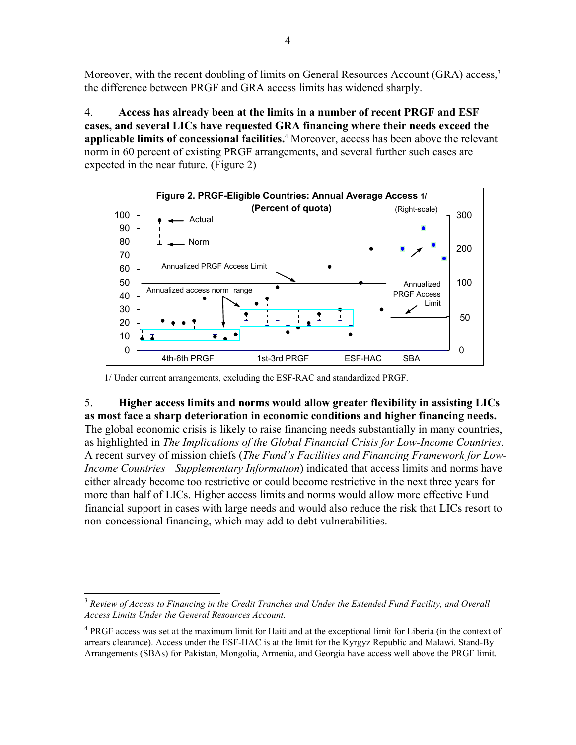Moreover, with the recent doubling of limits on General Resources Account (GRA) access,<sup>3</sup> the difference between PRGF and GRA access limits has widened sharply.

4. **Access has already been at the limits in a number of recent PRGF and ESF cases, and several LICs have requested GRA financing where their needs exceed the applicable limits of concessional facilities.**<sup>4</sup> Moreover, access has been above the relevant norm in 60 percent of existing PRGF arrangements, and several further such cases are expected in the near future. (Figure 2)



1/ Under current arrangements, excluding the ESF-RAC and standardized PRGF.

# 5. **Higher access limits and norms would allow greater flexibility in assisting LICs as most face a sharp deterioration in economic conditions and higher financing needs.**  The global economic crisis is likely to raise financing needs substantially in many countries, as highlighted in *The Implications of the Global Financial Crisis for Low-Income Countries*. A recent survey of mission chiefs (*The Fund's Facilities and Financing Framework for Low-Income Countries—Supplementary Information*) indicated that access limits and norms have either already become too restrictive or could become restrictive in the next three years for more than half of LICs. Higher access limits and norms would allow more effective Fund financial support in cases with large needs and would also reduce the risk that LICs resort to non-concessional financing, which may add to debt vulnerabilities.

1

<sup>3</sup> *Review of Access to Financing in the Credit Tranches and Under the Extended Fund Facility, and Overall Access Limits Under the General Resources Account*.

<sup>&</sup>lt;sup>4</sup> PRGF access was set at the maximum limit for Haiti and at the exceptional limit for Liberia (in the context of arrears clearance). Access under the ESF-HAC is at the limit for the Kyrgyz Republic and Malawi. Stand-By Arrangements (SBAs) for Pakistan, Mongolia, Armenia, and Georgia have access well above the PRGF limit.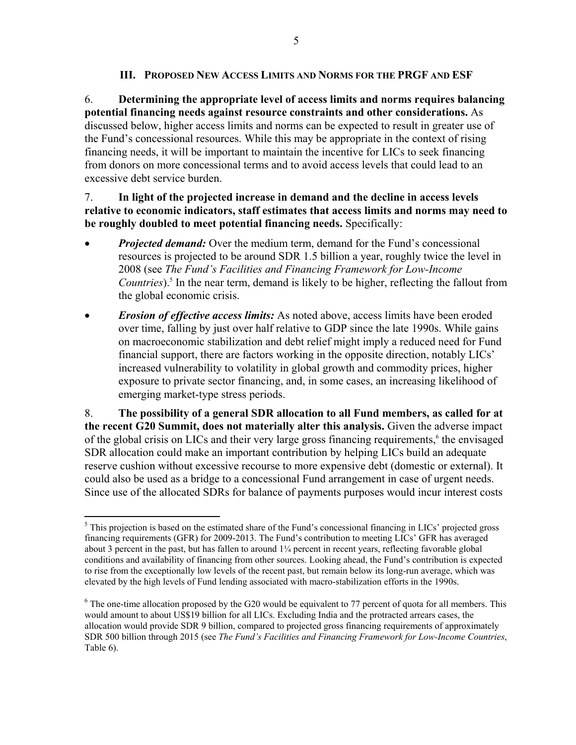## **III. PROPOSED NEW ACCESS LIMITS AND NORMS FOR THE PRGF AND ESF**

6. **Determining the appropriate level of access limits and norms requires balancing potential financing needs against resource constraints and other considerations.** As discussed below, higher access limits and norms can be expected to result in greater use of the Fund's concessional resources. While this may be appropriate in the context of rising financing needs, it will be important to maintain the incentive for LICs to seek financing from donors on more concessional terms and to avoid access levels that could lead to an excessive debt service burden.

## 7. **In light of the projected increase in demand and the decline in access levels relative to economic indicators, staff estimates that access limits and norms may need to be roughly doubled to meet potential financing needs.** Specifically:

- *Projected demand:* Over the medium term, demand for the Fund's concessional resources is projected to be around SDR 1.5 billion a year, roughly twice the level in 2008 (see *The Fund's Facilities and Financing Framework for Low-Income*  Countries).<sup>5</sup> In the near term, demand is likely to be higher, reflecting the fallout from the global economic crisis.
- *Erosion of effective access limits:* As noted above, access limits have been eroded over time, falling by just over half relative to GDP since the late 1990s. While gains on macroeconomic stabilization and debt relief might imply a reduced need for Fund financial support, there are factors working in the opposite direction, notably LICs' increased vulnerability to volatility in global growth and commodity prices, higher exposure to private sector financing, and, in some cases, an increasing likelihood of emerging market-type stress periods.

8. **The possibility of a general SDR allocation to all Fund members, as called for at the recent G20 Summit, does not materially alter this analysis.** Given the adverse impact of the global crisis on LICs and their very large gross financing requirements,<sup>6</sup> the envisaged SDR allocation could make an important contribution by helping LICs build an adequate reserve cushion without excessive recourse to more expensive debt (domestic or external). It could also be used as a bridge to a concessional Fund arrangement in case of urgent needs. Since use of the allocated SDRs for balance of payments purposes would incur interest costs

 $\overline{a}$  $<sup>5</sup>$  This projection is based on the estimated share of the Fund's concessional financing in LICs' projected gross</sup> financing requirements (GFR) for 2009-2013. The Fund's contribution to meeting LICs' GFR has averaged about 3 percent in the past, but has fallen to around  $1/4$  percent in recent years, reflecting favorable global conditions and availability of financing from other sources. Looking ahead, the Fund's contribution is expected to rise from the exceptionally low levels of the recent past, but remain below its long-run average, which was elevated by the high levels of Fund lending associated with macro-stabilization efforts in the 1990s.

 $6$  The one-time allocation proposed by the G20 would be equivalent to 77 percent of quota for all members. This would amount to about US\$19 billion for all LICs. Excluding India and the protracted arrears cases, the allocation would provide SDR 9 billion, compared to projected gross financing requirements of approximately SDR 500 billion through 2015 (see *The Fund's Facilities and Financing Framework for Low-Income Countries*, Table 6).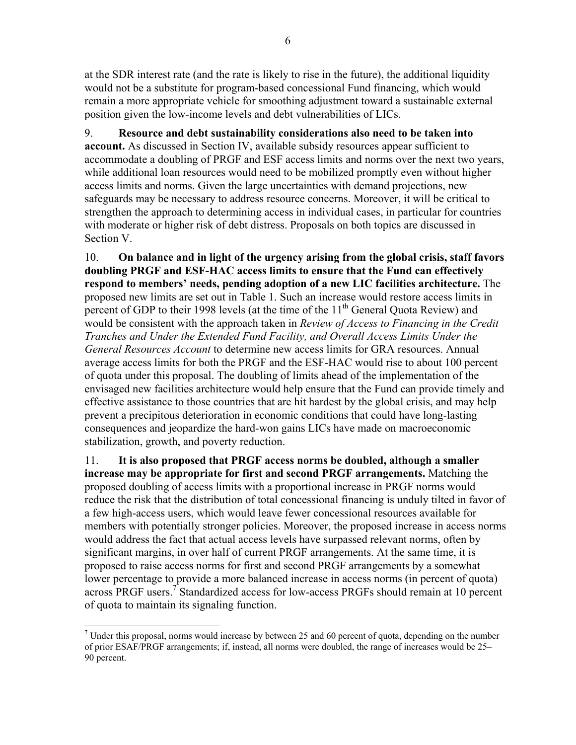at the SDR interest rate (and the rate is likely to rise in the future), the additional liquidity would not be a substitute for program-based concessional Fund financing, which would remain a more appropriate vehicle for smoothing adjustment toward a sustainable external position given the low-income levels and debt vulnerabilities of LICs.

9. **Resource and debt sustainability considerations also need to be taken into account.** As discussed in Section IV, available subsidy resources appear sufficient to accommodate a doubling of PRGF and ESF access limits and norms over the next two years, while additional loan resources would need to be mobilized promptly even without higher access limits and norms. Given the large uncertainties with demand projections, new safeguards may be necessary to address resource concerns. Moreover, it will be critical to strengthen the approach to determining access in individual cases, in particular for countries with moderate or higher risk of debt distress. Proposals on both topics are discussed in Section V.

10. **On balance and in light of the urgency arising from the global crisis, staff favors doubling PRGF and ESF-HAC access limits to ensure that the Fund can effectively respond to members' needs, pending adoption of a new LIC facilities architecture.** The proposed new limits are set out in Table 1. Such an increase would restore access limits in percent of GDP to their 1998 levels (at the time of the  $11<sup>th</sup>$  General Quota Review) and would be consistent with the approach taken in *Review of Access to Financing in the Credit Tranches and Under the Extended Fund Facility, and Overall Access Limits Under the General Resources Account* to determine new access limits for GRA resources. Annual average access limits for both the PRGF and the ESF-HAC would rise to about 100 percent of quota under this proposal. The doubling of limits ahead of the implementation of the envisaged new facilities architecture would help ensure that the Fund can provide timely and effective assistance to those countries that are hit hardest by the global crisis, and may help prevent a precipitous deterioration in economic conditions that could have long-lasting consequences and jeopardize the hard-won gains LICs have made on macroeconomic stabilization, growth, and poverty reduction.

11. **It is also proposed that PRGF access norms be doubled, although a smaller increase may be appropriate for first and second PRGF arrangements.** Matching the proposed doubling of access limits with a proportional increase in PRGF norms would reduce the risk that the distribution of total concessional financing is unduly tilted in favor of a few high-access users, which would leave fewer concessional resources available for members with potentially stronger policies. Moreover, the proposed increase in access norms would address the fact that actual access levels have surpassed relevant norms, often by significant margins, in over half of current PRGF arrangements. At the same time, it is proposed to raise access norms for first and second PRGF arrangements by a somewhat lower percentage to provide a more balanced increase in access norms (in percent of quota) across PRGF users.<sup>7</sup> Standardized access for low-access PRGFs should remain at 10 percent of quota to maintain its signaling function.

1

<sup>&</sup>lt;sup>7</sup> Under this proposal, norms would increase by between 25 and 60 percent of quota, depending on the number of prior ESAF/PRGF arrangements; if, instead, all norms were doubled, the range of increases would be 25– 90 percent.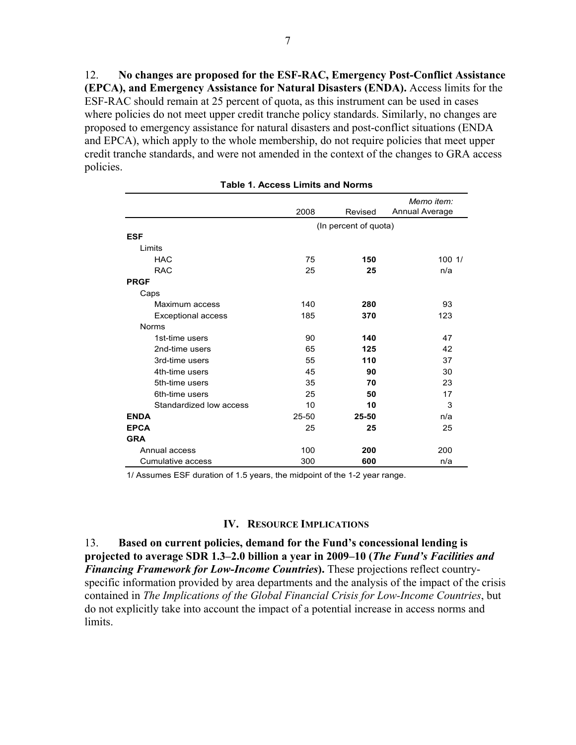12. **No changes are proposed for the ESF-RAC, Emergency Post-Conflict Assistance (EPCA), and Emergency Assistance for Natural Disasters (ENDA).** Access limits for the ESF-RAC should remain at 25 percent of quota, as this instrument can be used in cases where policies do not meet upper credit tranche policy standards. Similarly, no changes are proposed to emergency assistance for natural disasters and post-conflict situations (ENDA and EPCA), which apply to the whole membership, do not require policies that meet upper credit tranche standards, and were not amended in the context of the changes to GRA access policies.

|                         |                       | Memo item: |                |  |
|-------------------------|-----------------------|------------|----------------|--|
|                         | 2008                  | Revised    | Annual Average |  |
|                         | (In percent of quota) |            |                |  |
| <b>ESF</b>              |                       |            |                |  |
| Limits                  |                       |            |                |  |
| <b>HAC</b>              | 75                    | 150        | 1001/          |  |
| <b>RAC</b>              | 25                    | 25         | n/a            |  |
| <b>PRGF</b>             |                       |            |                |  |
| Caps                    |                       |            |                |  |
| Maximum access          | 140                   | 280        | 93             |  |
| Exceptional access      | 185                   | 370        | 123            |  |
| <b>Norms</b>            |                       |            |                |  |
| 1st-time users          | 90                    | 140        | 47             |  |
| 2nd-time users          | 65                    | 125        | 42             |  |
| 3rd-time users          | 55                    | 110        | 37             |  |
| 4th-time users          | 45                    | 90         | 30             |  |
| 5th-time users          | 35                    | 70         | 23             |  |
| 6th-time users          | 25                    | 50         | 17             |  |
| Standardized low access | 10                    | 10         | 3              |  |
| <b>ENDA</b>             | $25 - 50$             | 25-50      | n/a            |  |
| <b>EPCA</b>             | 25                    | 25         | 25             |  |
| <b>GRA</b>              |                       |            |                |  |
| Annual access           | 100                   | 200        | 200            |  |
| Cumulative access       | 300                   | 600        | n/a            |  |

#### **Table 1. Access Limits and Norms**

1/ Assumes ESF duration of 1.5 years, the midpoint of the 1-2 year range.

#### **IV. RESOURCE IMPLICATIONS**

13. **Based on current policies, demand for the Fund's concessional lending is projected to average SDR 1.3–2.0 billion a year in 2009–10 (***The Fund's Facilities and Financing Framework for Low-Income Countries***).** These projections reflect countryspecific information provided by area departments and the analysis of the impact of the crisis contained in *The Implications of the Global Financial Crisis for Low-Income Countries*, but do not explicitly take into account the impact of a potential increase in access norms and limits.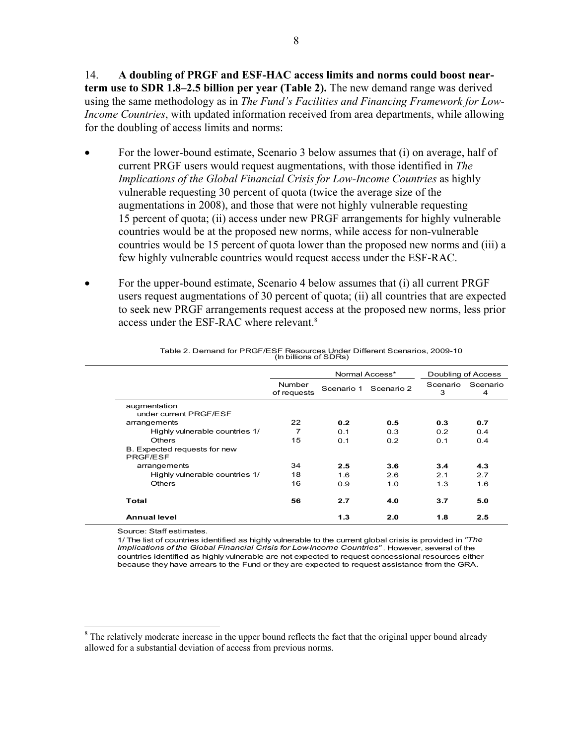14. **A doubling of PRGF and ESF-HAC access limits and norms could boost nearterm use to SDR 1.8–2.5 billion per year (Table 2).** The new demand range was derived using the same methodology as in *The Fund's Facilities and Financing Framework for Low-Income Countries*, with updated information received from area departments, while allowing for the doubling of access limits and norms:

- For the lower-bound estimate, Scenario 3 below assumes that (i) on average, half of current PRGF users would request augmentations, with those identified in *The Implications of the Global Financial Crisis for Low-Income Countries* as highly vulnerable requesting 30 percent of quota (twice the average size of the augmentations in 2008), and those that were not highly vulnerable requesting 15 percent of quota; (ii) access under new PRGF arrangements for highly vulnerable countries would be at the proposed new norms, while access for non-vulnerable countries would be 15 percent of quota lower than the proposed new norms and (iii) a few highly vulnerable countries would request access under the ESF-RAC.
- For the upper-bound estimate, Scenario 4 below assumes that (i) all current PRGF users request augmentations of 30 percent of quota; (ii) all countries that are expected to seek new PRGF arrangements request access at the proposed new norms, less prior access under the ESF-RAC where relevant.<sup>8</sup>

|                                          |                       | Normal Access* |                       |               | Doubling of Access |
|------------------------------------------|-----------------------|----------------|-----------------------|---------------|--------------------|
|                                          | Number<br>of requests |                | Scenario 1 Scenario 2 | Scenario<br>3 | Scenario<br>4      |
| augmentation<br>under current PRGF/ESF   |                       |                |                       |               |                    |
| arrangements                             | 22                    | 0.2            | 0.5                   | 0.3           | 0.7                |
| Highly vulnerable countries 1/           | 7                     | 0.1            | 0.3                   | 0.2           | 0.4                |
| <b>Others</b>                            | 15                    | 0.1            | 0.2                   | 0.1           | 0.4                |
| B. Expected requests for new<br>PRGF/ESF |                       |                |                       |               |                    |
| arrangements                             | 34                    | 2.5            | 3.6                   | 3.4           | 4.3                |
| Highly vulnerable countries 1/           | 18                    | 1.6            | 2.6                   | 2.1           | 2.7                |
| <b>Others</b>                            | 16                    | 0.9            | 1.0                   | 1.3           | 1.6                |
| Total                                    | 56                    | 2.7            | 4.0                   | 3.7           | 5.0                |
| <b>Annual level</b>                      |                       | 1.3            | 2.0                   | 1.8           | 2.5                |

Table 2. Demand for PRGF/ESF Resources Under Different Scenarios, 2009-10 (In billions of SDRs)

Source: Staff estimates.

 $\overline{a}$ 

1/ The list of countries identified as highly vulnerable to the current global crisis is provided in *"The Implications of the Global Financial Crisis for Low-Income Countries"* . However, several of the countries identified as highly vulnerable are not expected to request concessional resources either because they have arrears to the Fund or they are expected to request assistance from the GRA.

<sup>&</sup>lt;sup>8</sup> The relatively moderate increase in the upper bound reflects the fact that the original upper bound already allowed for a substantial deviation of access from previous norms.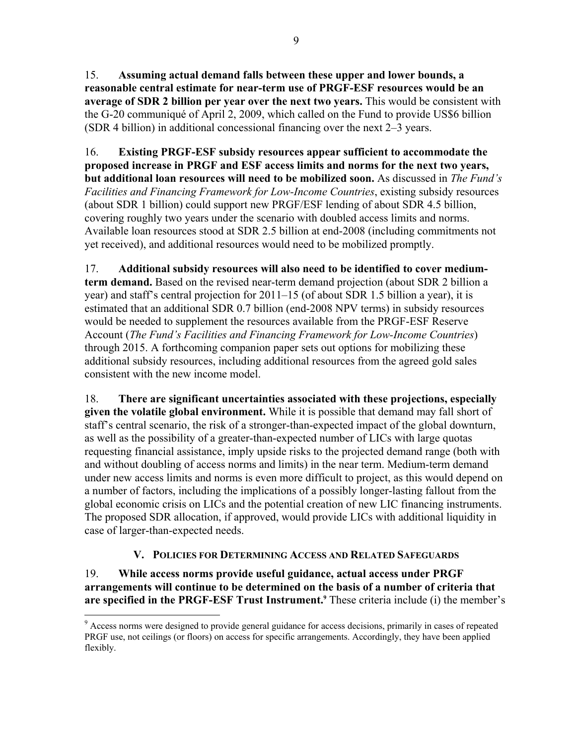15. **Assuming actual demand falls between these upper and lower bounds, a reasonable central estimate for near-term use of PRGF-ESF resources would be an average of SDR 2 billion per year over the next two years.** This would be consistent with the G-20 communiqué of April 2, 2009, which called on the Fund to provide US\$6 billion (SDR 4 billion) in additional concessional financing over the next 2–3 years.

16. **Existing PRGF-ESF subsidy resources appear sufficient to accommodate the proposed increase in PRGF and ESF access limits and norms for the next two years, but additional loan resources will need to be mobilized soon.** As discussed in *The Fund's Facilities and Financing Framework for Low-Income Countries*, existing subsidy resources (about SDR 1 billion) could support new PRGF/ESF lending of about SDR 4.5 billion, covering roughly two years under the scenario with doubled access limits and norms. Available loan resources stood at SDR 2.5 billion at end-2008 (including commitments not yet received), and additional resources would need to be mobilized promptly.

17. **Additional subsidy resources will also need to be identified to cover mediumterm demand.** Based on the revised near-term demand projection (about SDR 2 billion a year) and staff's central projection for 2011–15 (of about SDR 1.5 billion a year), it is estimated that an additional SDR 0.7 billion (end-2008 NPV terms) in subsidy resources would be needed to supplement the resources available from the PRGF-ESF Reserve Account (*The Fund's Facilities and Financing Framework for Low-Income Countries*) through 2015. A forthcoming companion paper sets out options for mobilizing these additional subsidy resources, including additional resources from the agreed gold sales consistent with the new income model.

18. **There are significant uncertainties associated with these projections, especially given the volatile global environment.** While it is possible that demand may fall short of staff's central scenario, the risk of a stronger-than-expected impact of the global downturn, as well as the possibility of a greater-than-expected number of LICs with large quotas requesting financial assistance, imply upside risks to the projected demand range (both with and without doubling of access norms and limits) in the near term. Medium-term demand under new access limits and norms is even more difficult to project, as this would depend on a number of factors, including the implications of a possibly longer-lasting fallout from the global economic crisis on LICs and the potential creation of new LIC financing instruments. The proposed SDR allocation, if approved, would provide LICs with additional liquidity in case of larger-than-expected needs.

# **V. POLICIES FOR DETERMINING ACCESS AND RELATED SAFEGUARDS**

19. **While access norms provide useful guidance, actual access under PRGF arrangements will continue to be determined on the basis of a number of criteria that**  are specified in the PRGF-ESF Trust Instrument.<sup>9</sup> These criteria include (i) the member's

 $\overline{a}$ 

<sup>&</sup>lt;sup>9</sup> Access norms were designed to provide general guidance for access decisions, primarily in cases of repeated PRGF use, not ceilings (or floors) on access for specific arrangements. Accordingly, they have been applied flexibly.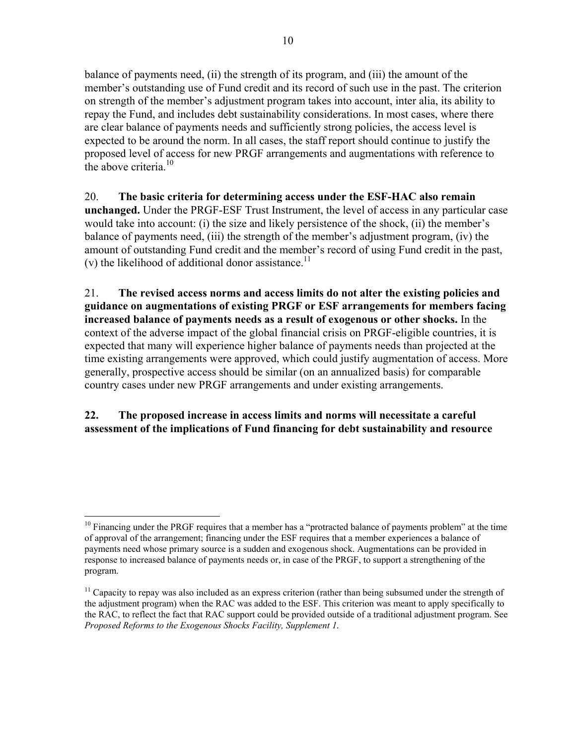balance of payments need, (ii) the strength of its program, and (iii) the amount of the member's outstanding use of Fund credit and its record of such use in the past. The criterion on strength of the member's adjustment program takes into account, inter alia, its ability to repay the Fund, and includes debt sustainability considerations. In most cases, where there are clear balance of payments needs and sufficiently strong policies, the access level is expected to be around the norm. In all cases, the staff report should continue to justify the proposed level of access for new PRGF arrangements and augmentations with reference to the above criteria. $10$ 

# 20. **The basic criteria for determining access under the ESF-HAC also remain unchanged.** Under the PRGF-ESF Trust Instrument, the level of access in any particular case would take into account: (i) the size and likely persistence of the shock, (ii) the member's balance of payments need, (iii) the strength of the member's adjustment program, (iv) the amount of outstanding Fund credit and the member's record of using Fund credit in the past, (v) the likelihood of additional donor assistance.<sup>11</sup>

21. **The revised access norms and access limits do not alter the existing policies and guidance on augmentations of existing PRGF or ESF arrangements for members facing increased balance of payments needs as a result of exogenous or other shocks.** In the context of the adverse impact of the global financial crisis on PRGF-eligible countries, it is expected that many will experience higher balance of payments needs than projected at the time existing arrangements were approved, which could justify augmentation of access. More generally, prospective access should be similar (on an annualized basis) for comparable country cases under new PRGF arrangements and under existing arrangements.

# **22. The proposed increase in access limits and norms will necessitate a careful assessment of the implications of Fund financing for debt sustainability and resource**

 $\overline{a}$ <sup>10</sup> Financing under the PRGF requires that a member has a "protracted balance of payments problem" at the time of approval of the arrangement; financing under the ESF requires that a member experiences a balance of payments need whose primary source is a sudden and exogenous shock. Augmentations can be provided in response to increased balance of payments needs or, in case of the PRGF, to support a strengthening of the program.

<sup>&</sup>lt;sup>11</sup> Capacity to repay was also included as an express criterion (rather than being subsumed under the strength of the adjustment program) when the RAC was added to the ESF. This criterion was meant to apply specifically to the RAC, to reflect the fact that RAC support could be provided outside of a traditional adjustment program. See *Proposed Reforms to the Exogenous Shocks Facility, Supplement 1*.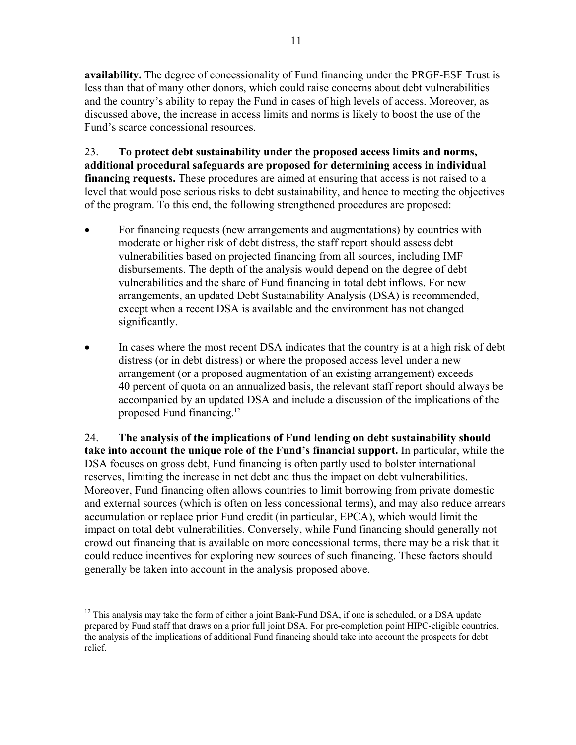**availability.** The degree of concessionality of Fund financing under the PRGF-ESF Trust is less than that of many other donors, which could raise concerns about debt vulnerabilities and the country's ability to repay the Fund in cases of high levels of access. Moreover, as discussed above, the increase in access limits and norms is likely to boost the use of the Fund's scarce concessional resources.

23. **To protect debt sustainability under the proposed access limits and norms, additional procedural safeguards are proposed for determining access in individual financing requests.** These procedures are aimed at ensuring that access is not raised to a level that would pose serious risks to debt sustainability, and hence to meeting the objectives of the program. To this end, the following strengthened procedures are proposed:

- For financing requests (new arrangements and augmentations) by countries with moderate or higher risk of debt distress, the staff report should assess debt vulnerabilities based on projected financing from all sources, including IMF disbursements. The depth of the analysis would depend on the degree of debt vulnerabilities and the share of Fund financing in total debt inflows. For new arrangements, an updated Debt Sustainability Analysis (DSA) is recommended, except when a recent DSA is available and the environment has not changed significantly.
- In cases where the most recent DSA indicates that the country is at a high risk of debt distress (or in debt distress) or where the proposed access level under a new arrangement (or a proposed augmentation of an existing arrangement) exceeds 40 percent of quota on an annualized basis, the relevant staff report should always be accompanied by an updated DSA and include a discussion of the implications of the proposed Fund financing.12

24. **The analysis of the implications of Fund lending on debt sustainability should take into account the unique role of the Fund's financial support.** In particular, while the DSA focuses on gross debt, Fund financing is often partly used to bolster international reserves, limiting the increase in net debt and thus the impact on debt vulnerabilities. Moreover, Fund financing often allows countries to limit borrowing from private domestic and external sources (which is often on less concessional terms), and may also reduce arrears accumulation or replace prior Fund credit (in particular, EPCA), which would limit the impact on total debt vulnerabilities. Conversely, while Fund financing should generally not crowd out financing that is available on more concessional terms, there may be a risk that it could reduce incentives for exploring new sources of such financing. These factors should generally be taken into account in the analysis proposed above.

<sup>&</sup>lt;u>.</u>  $12$  This analysis may take the form of either a joint Bank-Fund DSA, if one is scheduled, or a DSA update prepared by Fund staff that draws on a prior full joint DSA. For pre-completion point HIPC-eligible countries, the analysis of the implications of additional Fund financing should take into account the prospects for debt relief.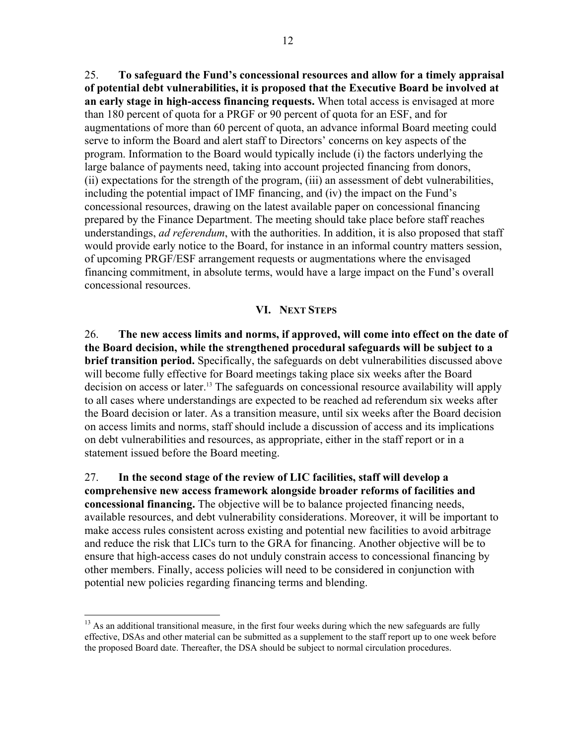25. **To safeguard the Fund's concessional resources and allow for a timely appraisal of potential debt vulnerabilities, it is proposed that the Executive Board be involved at an early stage in high-access financing requests.** When total access is envisaged at more than 180 percent of quota for a PRGF or 90 percent of quota for an ESF, and for augmentations of more than 60 percent of quota, an advance informal Board meeting could serve to inform the Board and alert staff to Directors' concerns on key aspects of the program. Information to the Board would typically include (i) the factors underlying the large balance of payments need, taking into account projected financing from donors, (ii) expectations for the strength of the program, (iii) an assessment of debt vulnerabilities, including the potential impact of IMF financing, and (iv) the impact on the Fund's concessional resources, drawing on the latest available paper on concessional financing prepared by the Finance Department. The meeting should take place before staff reaches understandings, *ad referendum*, with the authorities. In addition, it is also proposed that staff would provide early notice to the Board, for instance in an informal country matters session, of upcoming PRGF/ESF arrangement requests or augmentations where the envisaged financing commitment, in absolute terms, would have a large impact on the Fund's overall concessional resources.

#### **VI. NEXT STEPS**

26. **The new access limits and norms, if approved, will come into effect on the date of the Board decision, while the strengthened procedural safeguards will be subject to a brief transition period.** Specifically, the safeguards on debt vulnerabilities discussed above will become fully effective for Board meetings taking place six weeks after the Board decision on access or later.<sup>13</sup> The safeguards on concessional resource availability will apply to all cases where understandings are expected to be reached ad referendum six weeks after the Board decision or later. As a transition measure, until six weeks after the Board decision on access limits and norms, staff should include a discussion of access and its implications on debt vulnerabilities and resources, as appropriate, either in the staff report or in a statement issued before the Board meeting.

27. **In the second stage of the review of LIC facilities, staff will develop a comprehensive new access framework alongside broader reforms of facilities and concessional financing.** The objective will be to balance projected financing needs, available resources, and debt vulnerability considerations. Moreover, it will be important to make access rules consistent across existing and potential new facilities to avoid arbitrage and reduce the risk that LICs turn to the GRA for financing. Another objective will be to ensure that high-access cases do not unduly constrain access to concessional financing by other members. Finally, access policies will need to be considered in conjunction with potential new policies regarding financing terms and blending.

 $\overline{a}$ 

 $13$  As an additional transitional measure, in the first four weeks during which the new safeguards are fully effective, DSAs and other material can be submitted as a supplement to the staff report up to one week before the proposed Board date. Thereafter, the DSA should be subject to normal circulation procedures.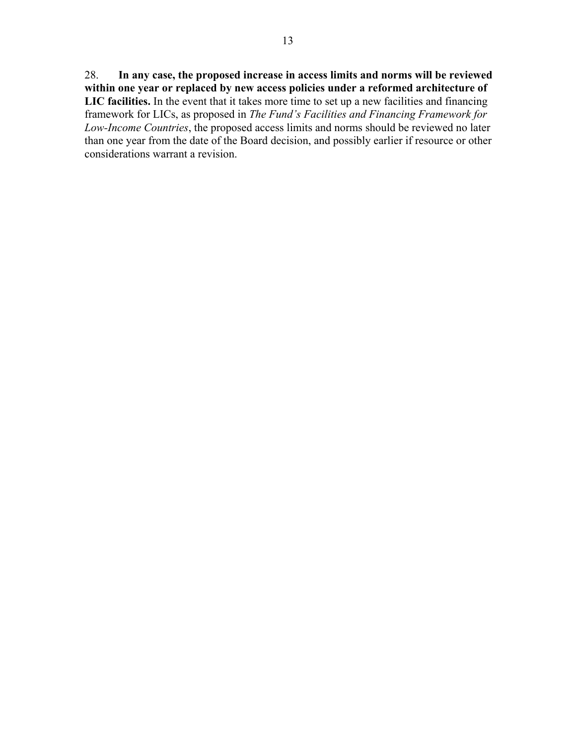28. **In any case, the proposed increase in access limits and norms will be reviewed within one year or replaced by new access policies under a reformed architecture of LIC facilities.** In the event that it takes more time to set up a new facilities and financing framework for LICs, as proposed in *The Fund's Facilities and Financing Framework for Low-Income Countries*, the proposed access limits and norms should be reviewed no later than one year from the date of the Board decision, and possibly earlier if resource or other considerations warrant a revision.